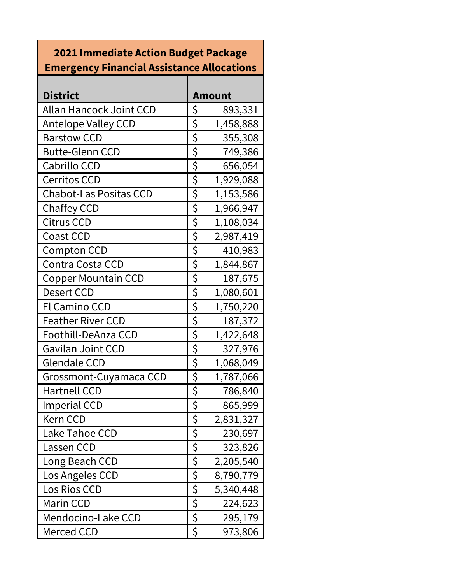## **2021 Immediate Action Budget Package Emergency Financial Assistance Allocations**

| <b>District</b>                |                  | <b>Amount</b> |
|--------------------------------|------------------|---------------|
| <b>Allan Hancock Joint CCD</b> | \$               | 893,331       |
| <b>Antelope Valley CCD</b>     | \$               | 1,458,888     |
| <b>Barstow CCD</b>             |                  | 355,308       |
| <b>Butte-Glenn CCD</b>         | $rac{5}{5}$      | 749,386       |
| Cabrillo CCD                   | \$               | 656,054       |
| <b>Cerritos CCD</b>            | \$               | 1,929,088     |
| <b>Chabot-Las Positas CCD</b>  | $\overline{\xi}$ | 1,153,586     |
| <b>Chaffey CCD</b>             | \$               | 1,966,947     |
| <b>Citrus CCD</b>              | $\overline{\xi}$ | 1,108,034     |
| <b>Coast CCD</b>               | $\frac{1}{2}$    | 2,987,419     |
| <b>Compton CCD</b>             | $\overline{\xi}$ | 410,983       |
| Contra Costa CCD               | \$               | 1,844,867     |
| <b>Copper Mountain CCD</b>     | \$               | 187,675       |
| <b>Desert CCD</b>              | \$               | 1,080,601     |
| El Camino CCD                  | $\overline{\xi}$ | 1,750,220     |
| <b>Feather River CCD</b>       | \$               | 187,372       |
| Foothill-DeAnza CCD            | \$               | 1,422,648     |
| <b>Gavilan Joint CCD</b>       | $\overline{\xi}$ | 327,976       |
| <b>Glendale CCD</b>            | \$               | 1,068,049     |
| Grossmont-Cuyamaca CCD         | $\frac{1}{2}$    | 1,787,066     |
| <b>Hartnell CCD</b>            | $rac{5}{5}$      | 786,840       |
| <b>Imperial CCD</b>            |                  | 865,999       |
| Kern CCD                       | \$               | 2,831,327     |
| Lake Tahoe CCD                 | $\overline{\xi}$ | 230,697       |
| Lassen CCD                     | ひこく こう           | 323,826       |
| Long Beach CCD                 |                  | 2,205,540     |
| Los Angeles CCD                |                  | 8,790,779     |
| Los Rios CCD                   |                  | 5,340,448     |
| <b>Marin CCD</b>               |                  | 224,623       |
| Mendocino-Lake CCD             | $\overline{\xi}$ | 295,179       |
| Merced CCD                     | \$               | 973,806       |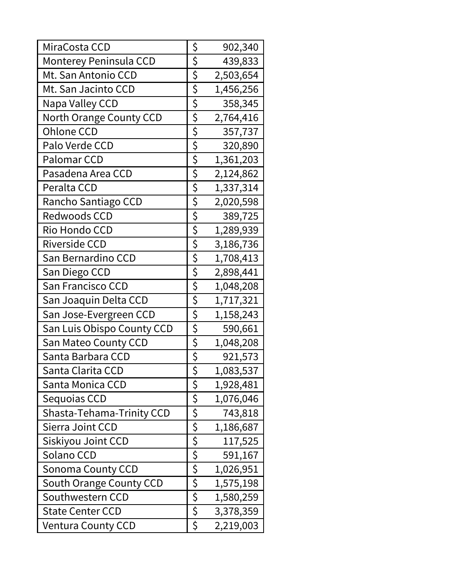| MiraCosta CCD              | \$                     | 902,340   |
|----------------------------|------------------------|-----------|
| Monterey Peninsula CCD     | $\overline{\xi}$       | 439,833   |
| Mt. San Antonio CCD        | \$                     | 2,503,654 |
| Mt. San Jacinto CCD        | \$                     | 1,456,256 |
| Napa Valley CCD            | $rac{5}{5}$            | 358,345   |
| North Orange County CCD    |                        | 2,764,416 |
| <b>Ohlone CCD</b>          | $rac{5}{5}$            | 357,737   |
| Palo Verde CCD             |                        | 320,890   |
| <b>Palomar CCD</b>         |                        | 1,361,203 |
| Pasadena Area CCD          | $\overline{\varsigma}$ | 2,124,862 |
| Peralta CCD                | $\overline{\zeta}$     | 1,337,314 |
| Rancho Santiago CCD        | $rac{5}{5}$            | 2,020,598 |
| Redwoods CCD               |                        | 389,725   |
| Rio Hondo CCD              | $\overline{\xi}$       | 1,289,939 |
| <b>Riverside CCD</b>       | \$                     | 3,186,736 |
| San Bernardino CCD         | $\overline{\xi}$       | 1,708,413 |
| San Diego CCD              | $\overline{\xi}$       | 2,898,441 |
| San Francisco CCD          | \$                     | 1,048,208 |
| San Joaquin Delta CCD      | $rac{5}{5}$            | 1,717,321 |
| San Jose-Evergreen CCD     |                        | 1,158,243 |
| San Luis Obispo County CCD | \$                     | 590,661   |
| San Mateo County CCD       | \$                     | 1,048,208 |
| Santa Barbara CCD          | $rac{5}{5}$            | 921,573   |
| Santa Clarita CCD          |                        | 1,083,537 |
| Santa Monica CCD           | \$                     | 1,928,481 |
| Sequoias CCD               | $rac{5}{5}$            | 1,076,046 |
| Shasta-Tehama-Trinity CCD  |                        | 743,818   |
| Sierra Joint CCD           |                        | 1,186,687 |
| Siskiyou Joint CCD         |                        | 117,525   |
| Solano CCD                 | $rac{5}{5}$            | 591,167   |
| <b>Sonoma County CCD</b>   |                        | 1,026,951 |
| South Orange County CCD    |                        | 1,575,198 |
| Southwestern CCD           | $rac{5}{5}$            | 1,580,259 |
| <b>State Center CCD</b>    |                        | 3,378,359 |
| <b>Ventura County CCD</b>  | \$                     | 2,219,003 |